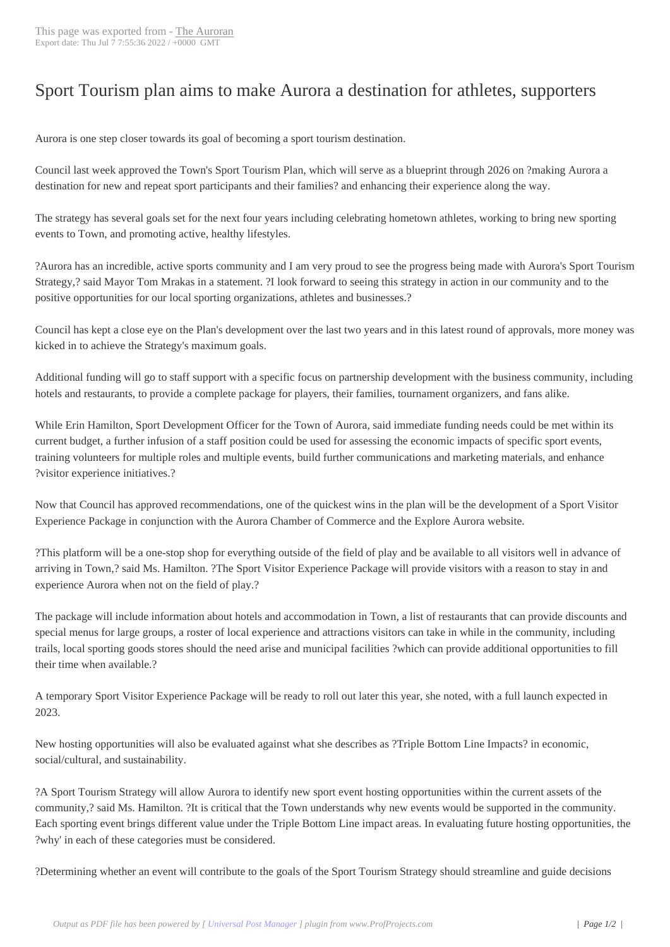## Sport Tourism plan [aims to](http://www.newspapers-online.com/auroran/?p=31236) make Aurora a destination for athletes, supporters

Aurora is one step closer towards its goal of becoming a sport tourism destination.

Council last week approved the Town's Sport Tourism Plan, which will serve as a blueprint through 2026 on ?making Aurora a destination for new and repeat sport participants and their families? and enhancing their experience along the way.

The strategy has several goals set for the next four years including celebrating hometown athletes, working to bring new sporting events to Town, and promoting active, healthy lifestyles.

?Aurora has an incredible, active sports community and I am very proud to see the progress being made with Aurora's Sport Tourism Strategy,? said Mayor Tom Mrakas in a statement. ?I look forward to seeing this strategy in action in our community and to the positive opportunities for our local sporting organizations, athletes and businesses.?

Council has kept a close eye on the Plan's development over the last two years and in this latest round of approvals, more money was kicked in to achieve the Strategy's maximum goals.

Additional funding will go to staff support with a specific focus on partnership development with the business community, including hotels and restaurants, to provide a complete package for players, their families, tournament organizers, and fans alike.

While Erin Hamilton, Sport Development Officer for the Town of Aurora, said immediate funding needs could be met within its current budget, a further infusion of a staff position could be used for assessing the economic impacts of specific sport events, training volunteers for multiple roles and multiple events, build further communications and marketing materials, and enhance ?visitor experience initiatives.?

Now that Council has approved recommendations, one of the quickest wins in the plan will be the development of a Sport Visitor Experience Package in conjunction with the Aurora Chamber of Commerce and the Explore Aurora website.

?This platform will be a one-stop shop for everything outside of the field of play and be available to all visitors well in advance of arriving in Town,? said Ms. Hamilton. ?The Sport Visitor Experience Package will provide visitors with a reason to stay in and experience Aurora when not on the field of play.?

The package will include information about hotels and accommodation in Town, a list of restaurants that can provide discounts and special menus for large groups, a roster of local experience and attractions visitors can take in while in the community, including trails, local sporting goods stores should the need arise and municipal facilities ?which can provide additional opportunities to fill their time when available.?

A temporary Sport Visitor Experience Package will be ready to roll out later this year, she noted, with a full launch expected in 2023.

New hosting opportunities will also be evaluated against what she describes as ?Triple Bottom Line Impacts? in economic, social/cultural, and sustainability.

?A Sport Tourism Strategy will allow Aurora to identify new sport event hosting opportunities within the current assets of the community,? said Ms. Hamilton. ?It is critical that the Town understands why new events would be supported in the community. Each sporting event brings different value under the Triple Bottom Line impact areas. In evaluating future hosting opportunities, the ?why' in each of these categories must be considered.

?Determining whether an event will contribute to the goals of the Sport Tourism Strategy should streamline and guide decisions